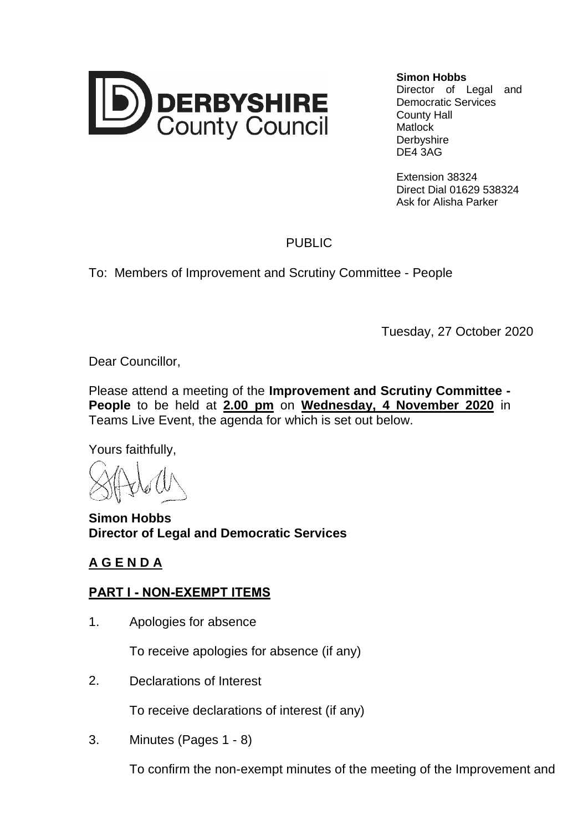

**Simon Hobbs**

Director of Legal and Democratic Services County Hall **Matlock Derbyshire** DE4 3AG

Extension 38324 Direct Dial 01629 538324 Ask for Alisha Parker

## PUBLIC

To: Members of Improvement and Scrutiny Committee - People

Tuesday, 27 October 2020

Dear Councillor,

Please attend a meeting of the **Improvement and Scrutiny Committee - People** to be held at **2.00 pm** on **Wednesday, 4 November 2020** in Teams Live Event, the agenda for which is set out below.

Yours faithfully,

**Simon Hobbs Director of Legal and Democratic Services**

## **A G E N D A**

## **PART I - NON-EXEMPT ITEMS**

1. Apologies for absence

To receive apologies for absence (if any)

2. Declarations of Interest

To receive declarations of interest (if any)

3. Minutes (Pages 1 - 8)

To confirm the non-exempt minutes of the meeting of the Improvement and